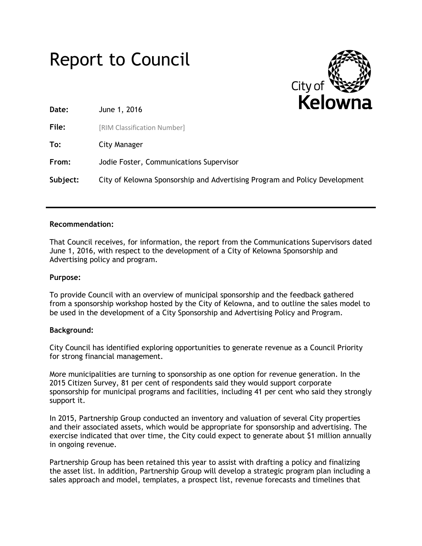



**Date:** June 1, 2016

**File:** [RIM Classification Number]

**To:** City Manager

**From:** Jodie Foster, Communications Supervisor

**Subject:** City of Kelowna Sponsorship and Advertising Program and Policy Development

# **Recommendation:**

That Council receives, for information, the report from the Communications Supervisors dated June 1, 2016, with respect to the development of a City of Kelowna Sponsorship and Advertising policy and program.

# **Purpose:**

To provide Council with an overview of municipal sponsorship and the feedback gathered from a sponsorship workshop hosted by the City of Kelowna, and to outline the sales model to be used in the development of a City Sponsorship and Advertising Policy and Program.

# **Background:**

City Council has identified exploring opportunities to generate revenue as a Council Priority for strong financial management.

More municipalities are turning to sponsorship as one option for revenue generation. In the 2015 Citizen Survey, 81 per cent of respondents said they would support corporate sponsorship for municipal programs and facilities, including 41 per cent who said they strongly support it.

In 2015, Partnership Group conducted an inventory and valuation of several City properties and their associated assets, which would be appropriate for sponsorship and advertising. The exercise indicated that over time, the City could expect to generate about \$1 million annually in ongoing revenue.

Partnership Group has been retained this year to assist with drafting a policy and finalizing the asset list. In addition, Partnership Group will develop a strategic program plan including a sales approach and model, templates, a prospect list, revenue forecasts and timelines that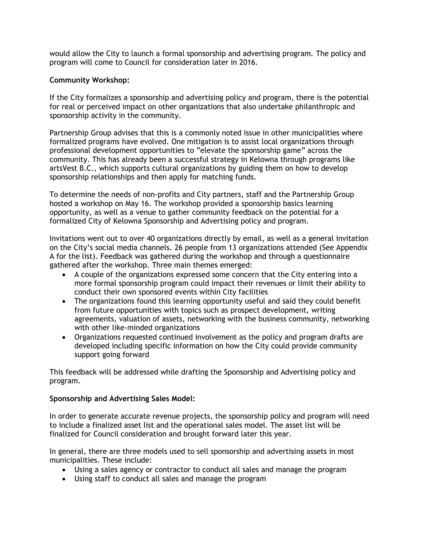would allow the City to launch a formal sponsorship and advertising program. The policy and program will come to Council for consideration later in 2016.

# **Community Workshop:**

If the City formalizes a sponsorship and advertising policy and program, there is the potential for real or perceived impact on other organizations that also undertake philanthropic and sponsorship activity in the community.

Partnership Group advises that this is a commonly noted issue in other municipalities where formalized programs have evolved. One mitigation is to assist local organizations through professional development opportunities to "elevate the sponsorship game" across the community. This has already been a successful strategy in Kelowna through programs like artsVest B.C., which supports cultural organizations by guiding them on how to develop sponsorship relationships and then apply for matching funds.

To determine the needs of non-profits and City partners, staff and the Partnership Group hosted a workshop on May 16. The workshop provided a sponsorship basics learning opportunity, as well as a venue to gather community feedback on the potential for a formalized City of Kelowna Sponsorship and Advertising policy and program.

Invitations went out to over 40 organizations directly by email, as well as a general invitation on the City's social media channels. 26 people from 13 organizations attended (See Appendix A for the list). Feedback was gathered during the workshop and through a questionnaire gathered after the workshop. Three main themes emerged:

- A couple of the organizations expressed some concern that the City entering into a more formal sponsorship program could impact their revenues or limit their ability to conduct their own sponsored events within City facilities
- The organizations found this learning opportunity useful and said they could benefit from future opportunities with topics such as prospect development, writing agreements, valuation of assets, networking with the business community, networking with other like-minded organizations
- Organizations requested continued involvement as the policy and program drafts are developed including specific information on how the City could provide community support going forward

This feedback will be addressed while drafting the Sponsorship and Advertising policy and program.

# **Sponsorship and Advertising Sales Model:**

In order to generate accurate revenue projects, the sponsorship policy and program will need to include a finalized asset list and the operational sales model. The asset list will be finalized for Council consideration and brought forward later this year.

In general, there are three models used to sell sponsorship and advertising assets in most municipalities. These include:

- Using a sales agency or contractor to conduct all sales and manage the program
- Using staff to conduct all sales and manage the program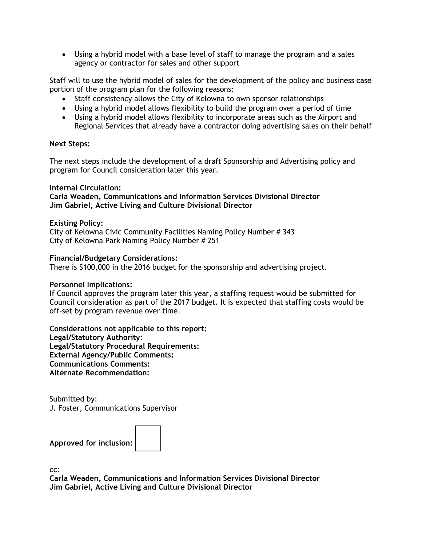Using a hybrid model with a base level of staff to manage the program and a sales agency or contractor for sales and other support

Staff will to use the hybrid model of sales for the development of the policy and business case portion of the program plan for the following reasons:

- Staff consistency allows the City of Kelowna to own sponsor relationships
- Using a hybrid model allows flexibility to build the program over a period of time
- Using a hybrid model allows flexibility to incorporate areas such as the Airport and Regional Services that already have a contractor doing advertising sales on their behalf

## **Next Steps:**

The next steps include the development of a draft Sponsorship and Advertising policy and program for Council consideration later this year.

## **Internal Circulation:**

**Carla Weaden, Communications and Information Services Divisional Director Jim Gabriel, Active Living and Culture Divisional Director**

## **Existing Policy:**

City of Kelowna Civic Community Facilities Naming Policy Number # 343 City of Kelowna Park Naming Policy Number # 251

#### **Financial/Budgetary Considerations:**

There is \$100,000 in the 2016 budget for the sponsorship and advertising project.

#### **Personnel Implications:**

If Council approves the program later this year, a staffing request would be submitted for Council consideration as part of the 2017 budget. It is expected that staffing costs would be off-set by program revenue over time.

**Considerations not applicable to this report: Legal/Statutory Authority: Legal/Statutory Procedural Requirements: External Agency/Public Comments: Communications Comments: Alternate Recommendation:**

Submitted by: J. Foster, Communications Supervisor

**Approved for inclusion:**



cc:

**Carla Weaden, Communications and Information Services Divisional Director Jim Gabriel, Active Living and Culture Divisional Director**